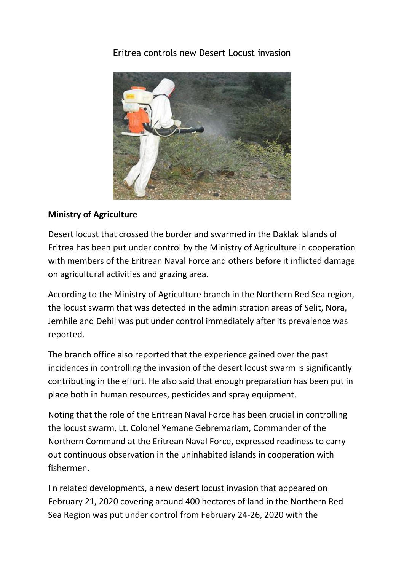## [Eritrea controls new Desert Locust invasion](http://www.shabait.com/articles/nation-building/30312-eritrea-controls-new-desert-locust-invasion-)



## **Ministry of Agriculture**

Desert locust that crossed the border and swarmed in the Daklak Islands of Eritrea has been put under control by the Ministry of Agriculture in cooperation with members of the Eritrean Naval Force and others before it inflicted damage on agricultural activities and grazing area.

According to the Ministry of Agriculture branch in the Northern Red Sea region, the locust swarm that was detected in the administration areas of Selit, Nora, Jemhile and Dehil was put under control immediately after its prevalence was reported.

The branch office also reported that the experience gained over the past incidences in controlling the invasion of the desert locust swarm is significantly contributing in the effort. He also said that enough preparation has been put in place both in human resources, pesticides and spray equipment.

Noting that the role of the Eritrean Naval Force has been crucial in controlling the locust swarm, Lt. Colonel Yemane Gebremariam, Commander of the Northern Command at the Eritrean Naval Force, expressed readiness to carry out continuous observation in the uninhabited islands in cooperation with fishermen.

I n related developments, a new desert locust invasion that appeared on February 21, 2020 covering around 400 hectares of land in the Northern Red Sea Region was put under control from February 24-26, 2020 with the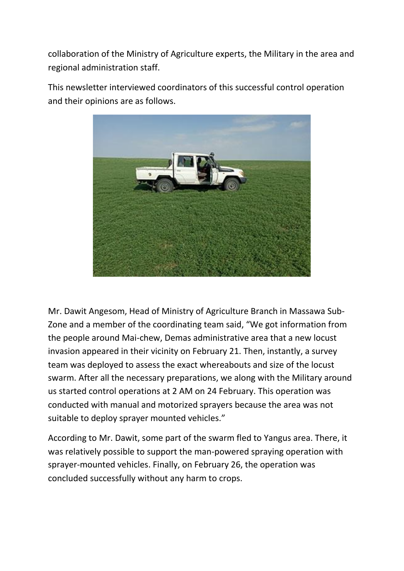collaboration of the Ministry of Agriculture experts, the Military in the area and regional administration staff.

This newsletter interviewed coordinators of this successful control operation and their opinions are as follows.



Mr. Dawit Angesom, Head of Ministry of Agriculture Branch in Massawa Sub-Zone and a member of the coordinating team said, "We got information from the people around Mai-chew, Demas administrative area that a new locust invasion appeared in their vicinity on February 21. Then, instantly, a survey team was deployed to assess the exact whereabouts and size of the locust swarm. After all the necessary preparations, we along with the Military around us started control operations at 2 AM on 24 February. This operation was conducted with manual and motorized sprayers because the area was not suitable to deploy sprayer mounted vehicles."

According to Mr. Dawit, some part of the swarm fled to Yangus area. There, it was relatively possible to support the man-powered spraying operation with sprayer-mounted vehicles. Finally, on February 26, the operation was concluded successfully without any harm to crops.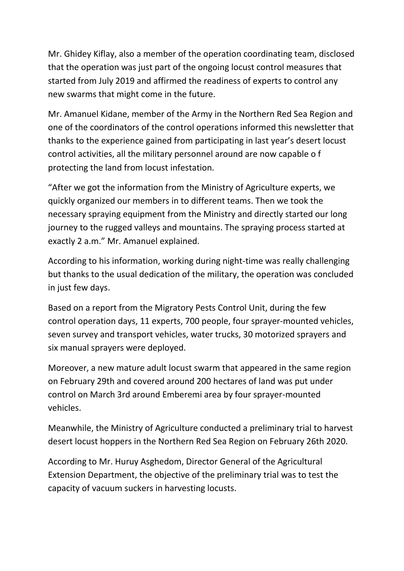Mr. Ghidey Kiflay, also a member of the operation coordinating team, disclosed that the operation was just part of the ongoing locust control measures that started from July 2019 and affirmed the readiness of experts to control any new swarms that might come in the future.

Mr. Amanuel Kidane, member of the Army in the Northern Red Sea Region and one of the coordinators of the control operations informed this newsletter that thanks to the experience gained from participating in last year's desert locust control activities, all the military personnel around are now capable o f protecting the land from locust infestation.

"After we got the information from the Ministry of Agriculture experts, we quickly organized our members in to different teams. Then we took the necessary spraying equipment from the Ministry and directly started our long journey to the rugged valleys and mountains. The spraying process started at exactly 2 a.m." Mr. Amanuel explained.

According to his information, working during night-time was really challenging but thanks to the usual dedication of the military, the operation was concluded in just few days.

Based on a report from the Migratory Pests Control Unit, during the few control operation days, 11 experts, 700 people, four sprayer-mounted vehicles, seven survey and transport vehicles, water trucks, 30 motorized sprayers and six manual sprayers were deployed.

Moreover, a new mature adult locust swarm that appeared in the same region on February 29th and covered around 200 hectares of land was put under control on March 3rd around Emberemi area by four sprayer-mounted vehicles.

Meanwhile, the Ministry of Agriculture conducted a preliminary trial to harvest desert locust hoppers in the Northern Red Sea Region on February 26th 2020.

According to Mr. Huruy Asghedom, Director General of the Agricultural Extension Department, the objective of the preliminary trial was to test the capacity of vacuum suckers in harvesting locusts.